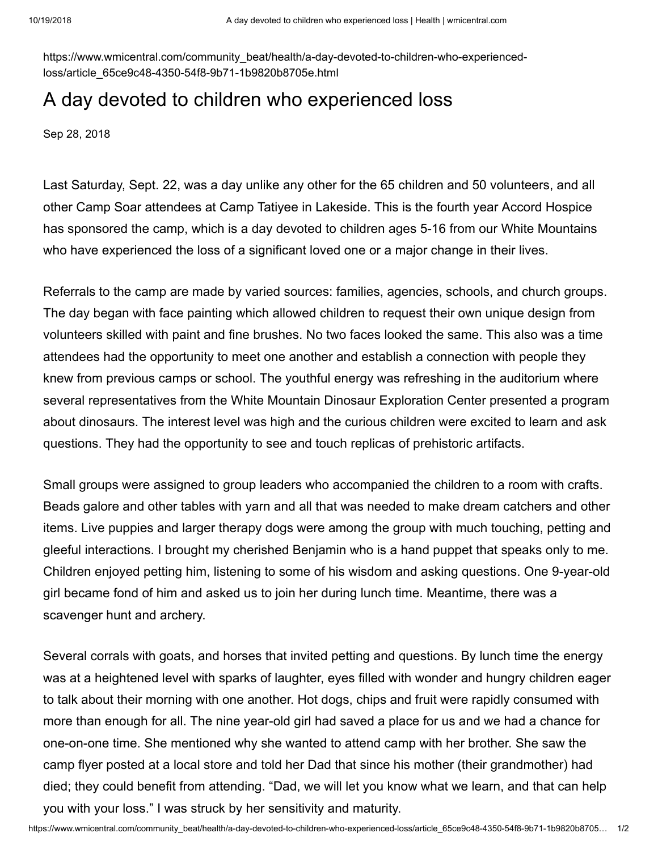https://www.wmicentral.com/community\_beat/health/a-day-devoted-to-children-who-experiencedloss/article\_65ce9c48-4350-54f8-9b71-1b9820b8705e.html

## A day devoted to children who experienced loss

Sep 28, 2018

Last Saturday, Sept. 22, was a day unlike any other for the 65 children and 50 volunteers, and all other Camp Soar attendees at Camp Tatiyee in Lakeside. This is the fourth year Accord Hospice has sponsored the camp, which is a day devoted to children ages 5-16 from our White Mountains who have experienced the loss of a significant loved one or a major change in their lives.

Referrals to the camp are made by varied sources: families, agencies, schools, and church groups. The day began with face painting which allowed children to request their own unique design from volunteers skilled with paint and fine brushes. No two faces looked the same. This also was a time attendees had the opportunity to meet one another and establish a connection with people they knew from previous camps or school. The youthful energy was refreshing in the auditorium where several representatives from the White Mountain Dinosaur Exploration Center presented a program about dinosaurs. The interest level was high and the curious children were excited to learn and ask questions. They had the opportunity to see and touch replicas of prehistoric artifacts.

Small groups were assigned to group leaders who accompanied the children to a room with crafts. Beads galore and other tables with yarn and all that was needed to make dream catchers and other items. Live puppies and larger therapy dogs were among the group with much touching, petting and gleeful interactions. I brought my cherished Benjamin who is a hand puppet that speaks only to me. Children enjoyed petting him, listening to some of his wisdom and asking questions. One 9-year-old girl became fond of him and asked us to join her during lunch time. Meantime, there was a scavenger hunt and archery.

Several corrals with goats, and horses that invited petting and questions. By lunch time the energy was at a heightened level with sparks of laughter, eyes filled with wonder and hungry children eager to talk about their morning with one another. Hot dogs, chips and fruit were rapidly consumed with more than enough for all. The nine year-old girl had saved a place for us and we had a chance for one-on-one time. She mentioned why she wanted to attend camp with her brother. She saw the camp flyer posted at a local store and told her Dad that since his mother (their grandmother) had died; they could benefit from attending. "Dad, we will let you know what we learn, and that can help you with your loss." I was struck by her sensitivity and maturity.